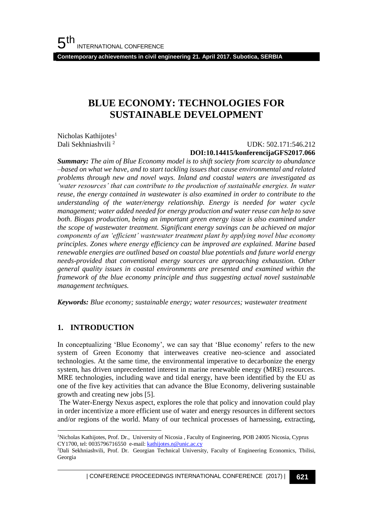**Contemporary achievements in civil engineering 21. April 2017. Subotica, SERBIA**

# **BLUE ECONOMY: TECHNOLOGIES FOR SUSTAINABLE DEVELOPMENT**

Nicholas Kathijotes $<sup>1</sup>$ </sup> Dali Sekhniashvili <sup>2</sup>

# UDK: 502.171:546.212

### **DOI:10.14415/konferencijaGFS2017.066**

*Summary: The aim of Blue Economy model is to shift society from scarcity to abundance –based on what we have, and to start tackling issues that cause environmental and related problems through new and novel ways. Inland and coastal waters are investigated as 'water resources' that can contribute to the production of sustainable energies. In water reuse, the energy contained in wastewater is also examined in order to contribute to the understanding of the water/energy relationship. Energy is needed for water cycle management; water added needed for energy production and water reuse can help to save both. Biogas production, being an important green energy issue is also examined under the scope of wastewater treatment. Significant energy savings can be achieved on major components of an 'efficient' wastewater treatment plant by applying novel blue economy principles. Zones where energy efficiency can be improved are explained. Marine based renewable energies are outlined based on coastal blue potentials and future world energy needs-provided that conventional energy sources are approaching exhaustion. Other general quality issues in coastal environments are presented and examined within the framework of the blue economy principle and thus suggesting actual novel sustainable management techniques.*

*Keywords: Blue economy; sustainable energy; water resources; wastewater treatment*

### **1. INTRODUCTION**

l

In conceptualizing 'Blue Economy', we can say that 'Blue economy' refers to the new system of Green Economy that interweaves creative neo-science and associated technologies. At the same time, the environmental imperative to decarbonize the energy system, has driven unprecedented interest in marine renewable energy (MRE) resources. MRE technologies, including wave and tidal energy, have been identified by the EU as one of the five key activities that can advance the Blue Economy, delivering sustainable growth and creating new jobs [5].

The Water-Energy Nexus aspect, explores the role that policy and innovation could play in order incentivize a more efficient use of water and energy resources in different sectors and/or regions of the world. Many of our technical processes of harnessing, extracting,

<sup>&</sup>lt;sup>1</sup>Nicholas Kathijotes, Prof. Dr., University of Nicosia, Faculty of Engineering, POB 24005 Nicosia, Cyprus CY1700, tel: 0035796716550 e-mail[: kathijotes.n@unic.ac.cy](mailto:kathijotes.n@unic.ac.cy)

<sup>&</sup>lt;sup>2</sup>Dali Sekhniashvili, Prof. Dr. Georgian Technical University, Faculty of Engineering Economics, Tbilisi, Georgia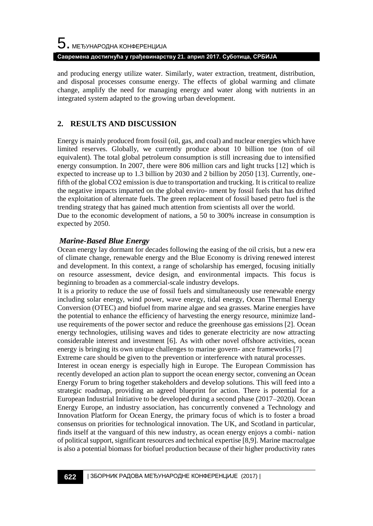and producing energy utilize water. Similarly, water extraction, treatment, distribution, and disposal processes consume energy. The effects of global warming and climate change, amplify the need for managing energy and water along with nutrients in an integrated system adapted to the growing urban development.

## **2. RESULTS AND DISCUSSION**

Energy is mainly produced from fossil (oil, gas, and coal) and nuclear energies which have limited reserves. Globally, we currently produce about 10 billion toe (ton of oil equivalent). The total global petroleum consumption is still increasing due to intensified energy consumption. In 2007, there were 806 million cars and light trucks [12] which is expected to increase up to 1.3 billion by 2030 and 2 billion by 2050 [13]. Currently, onefifth of the global CO2 emission is due to transportation and trucking. It is critical to realize the negative impacts imparted on the global enviro- nment by fossil fuels that has drifted the exploitation of alternate fuels. The green replacement of fossil based petro fuel is the trending strategy that has gained much attention from scientists all over the world. Due to the economic development of nations, a 50 to 300% increase in consumption is expected by 2050.

### *Marine-Based Blue Energy*

Ocean energy lay dormant for decades following the easing of the oil crisis, but a new era of climate change, renewable energy and the Blue Economy is driving renewed interest and development. In this context, a range of scholarship has emerged, focusing initially on resource assessment, device design, and environmental impacts. This focus is beginning to broaden as a commercial-scale industry develops.

It is a priority to reduce the use of fossil fuels and simultaneously use renewable energy including solar energy, wind power, wave energy, tidal energy, Ocean Thermal Energy Conversion (OTEC) and biofuel from marine algae and sea grasses. Marine energies have the potential to enhance the efficiency of harvesting the energy resource, minimize landuse requirements of the power sector and reduce the greenhouse gas emissions [2]. Ocean energy technologies, utilising waves and tides to generate electricity are now attracting considerable interest and investment [6]. As with other novel offshore activities, ocean energy is bringing its own unique challenges to marine govern- ance frameworks [7] Extreme care should be given to the prevention or interference with natural processes.

Interest in ocean energy is especially high in Europe. The European Commission has recently developed an action plan to support the ocean energy sector, convening an Ocean Energy Forum to bring together stakeholders and develop solutions. This will feed into a strategic roadmap, providing an agreed blueprint for action. There is potential for a European Industrial Initiative to be developed during a second phase (2017–2020). Ocean Energy Europe, an industry association, has concurrently convened a Technology and Innovation Platform for Ocean Energy, the primary focus of which is to foster a broad consensus on priorities for technological innovation. The UK, and Scotland in particular, finds itself at the vanguard of this new industry, as ocean energy enjoys a combi- nation of political support, significant resources and technical expertise [8,9]. Marine macroalgae is also a potential biomass for biofuel production because of their higher productivity rates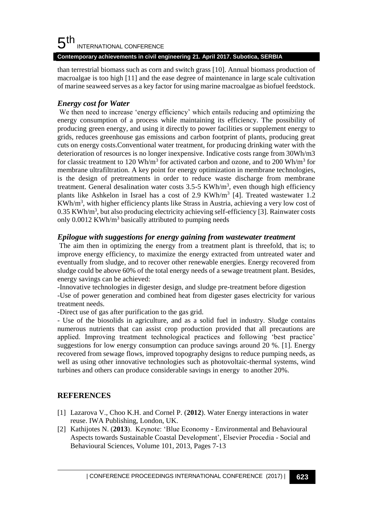#### 5 th INTERNATIONAL CONFERENCE

**Contemporary achievements in civil engineering 21. April 2017. Subotica, SERBIA**

than terrestrial biomass such as corn and switch grass [10]. Annual biomass production of macroalgae is too high [11] and the ease degree of maintenance in large scale cultivation of marine seaweed serves as a key factor for using marine macroalgae as biofuel feedstock.

## *Energy cost for Water*

We then need to increase 'energy efficiency' which entails reducing and optimizing the energy consumption of a process while maintaining its efficiency. The possibility of producing green energy, and using it directly to power facilities or supplement energy to grids, reduces greenhouse gas emissions and carbon footprint of plants, producing great cuts on energy costs.Conventional water treatment, for producing drinking water with the deterioration of resources is no longer inexpensive. Indicative costs range from 30Wh/m3 for classic treatment to 120 Wh/m<sup>3</sup> for activated carbon and ozone, and to 200 Wh/m<sup>3</sup> for membrane ultrafiltration. A key point for energy optimization in membrane technologies, is the design of pretreatments in order to reduce waste discharge from membrane treatment. General desalination water costs  $3.5\n-5$  KWh/m<sup>3</sup>, even though high efficiency plants like Ashkelon in Israel has a cost of 2.9  $KWh/m^3$  [4]. Treated wastewater 1.2 KWh/m<sup>3</sup>, with higher efficiency plants like Strass in Austria, achieving a very low cost of 0.35 KWh/m<sup>3</sup>, but also producing electricity achieving self-efficiency [3]. Rainwater costs only 0.0012 KWh/m<sup>3</sup> basically attributed to pumping needs

### *Epilogue with suggestions for energy gaining from wastewater treatment*

The aim then in optimizing the energy from a treatment plant is threefold, that is; to improve energy efficiency, to maximize the energy extracted from untreated water and eventually from sludge, and to recover other renewable energies. Energy recovered from sludge could be above 60% of the total energy needs of a sewage treatment plant. Besides, energy savings can be achieved:

-Innovative technologies in digester design, and sludge pre-treatment before digestion -Use of power generation and combined heat from digester gases electricity for various treatment needs.

-Direct use of gas after purification to the gas grid.

- Use of the biosolids in agriculture, and as a solid fuel in industry. Sludge contains numerous nutrients that can assist crop production provided that all precautions are applied. Improving treatment technological practices and following 'best practice' suggestions for low energy consumption can produce savings around 20 %. [1]. Energy recovered from sewage flows, improved topography designs to reduce pumping needs, as well as using other innovative technologies such as photovoltaic-thermal systems, wind turbines and others can produce considerable savings in energy to another 20%.

## **REFERENCES**

- [1] Lazarova V., Choo K.H. and Cornel P. (**2012**). Water Energy interactions in water reuse. IWA Publishing, London, UK.
- [2] Kathijotes N. (**2013**). Keynote: 'Blue Economy Environmental and Behavioural Aspects towards Sustainable Coastal Development', Elsevier Procedia - Social and Behavioural Sciences, Volume 101, 2013, Pages 7-13